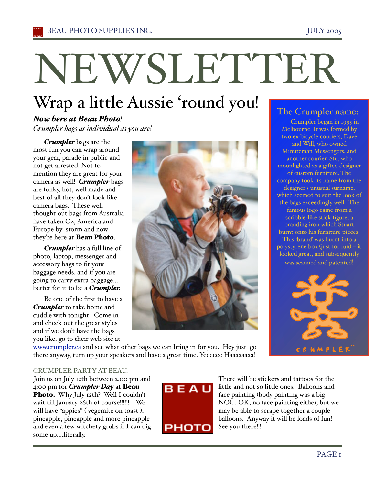# NEWSLETTER

## Wrap a little Aussie 'round you!

#### *Now here at Beau Photo! Crumpler bags as individual as you are!*

*Crumpler* bags are the most fun you can wrap around your gear, parade in public and not get arrested. Not to mention they are great for your camera as well! *Crumpler* bags are funky, hot, well made and best of all they don't look like camera bags. These well thought-out bags from Australia have taken Oz, America and Europe by storm and now they're here at Beau Photo.

*Crumpler* has a full line of photo, laptop, messenger and accessory bags to fit your baggage needs, and if you are going to carry extra baggage... better for it to be a *Crumpler.* 

Be one of the first to have a *Crumpler* to take home and cuddle with tonight. Come in and check out the great styles and if we don't have the bags you like, go to their web site at



### The Crumpler name:

Crumpler began in 1995 in Melbourne. It was formed by two ex-bicycle couriers, Dave and Will, who owned Minuteman Messengers, and another courier, Stu, who moonlighted as a gifted designer of custom furniture. The company took its name from the designer's unusual surname, which seemed to suit the look of the bags exceedingly well. The famous logo came from a scribble-like stick figure, a branding iron which Stuart burnt onto his furniture pieces. This 'branď was burnt into a polystyrene box (just for fun) – it looked great, and subsequently was scanned and patented!



www.crumpler.ca and see what other bags we can bring in for you. Hey just go there anyway, turn up your speakers and have a great time. Yeeeeee Haaaaaaaa!

#### CRUMPLER PARTYAT BEAU.

Join us on July 12th between 2.00 pm and 4:00 pm for *Crumpler Day* at Beau Photo. Why July 12th? Well I couldn't wait till January 26th of course!!!!!! We will have "appies" (vegemite on toast), pineapple, pineapple and more pineapple and even a few witchety grubs if I can dig some up....literally.



There will be stickers and tattoos for the little and not so little ones. Balloons and face painting (body painting was a big NO)... OK, no face painting either, but we may be able to scrape together a couple balloons. Anyway it will be loads of fun! See you there!!!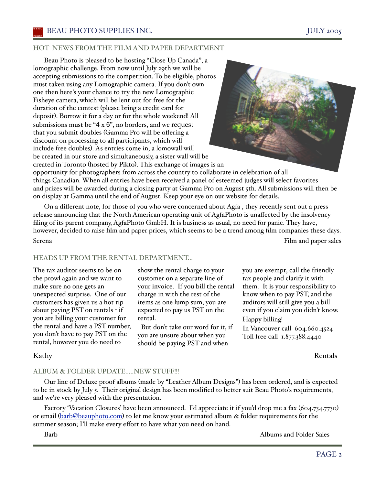#### HOT NEWS FROM THE FILM AND PAPER DEPARTMENT

Beau Photo is pleased to be hosting "Close Up Canada", a lomographic challenge. From now until July 29th we will be accepting submissions to the competition. To be eligible, photos must taken using any Lomographic camera. If you don't own one then here's your chance to try the new Lomographic Fisheye camera, which will be lent out for free for the duration of the contest (please bring a credit card for deposit). Borrow it for a day or for the whole weekend! All submissions must be " $4 \times 6$ ", no borders, and we request that you submit doubles (Gamma Pro will be offering a discount on processing to all participants, which will include free doubles). As entries come in, a lomowall will be created in our store and simultaneously, a sister wall will be created in Toronto (hosted by Pikto). This exchange of images is an



opportunity for photographers from across the country to collaborate in celebration of all things Canadian. When all entries have been received a panel of esteemed judges will select favorites and prizes will be awarded during a closing party at Gamma Pro on August 5th. All submissions will then be on display at Gamma until the end of August. Keep your eye on our website for details.

On a different note, for those of you who were concerned about Agfa , they recently sent out a press release announcing that the North American operating unit of AgfaPhoto is unaffected by the insolvency filing of its parent company, AgfaPhoto GmbH. It is business as usual, no need for panic. They have, however, decided to raise film and paper prices, which seems to be a trend among film companies these days. Serena Film and paper sales

#### HEADS UP FROM THE RENTAL DEPARTMENT…

The tax auditor seems to be on the prowl again and we want to make sure no one gets an unexpected surprise. One of our customers has given us a hot tip about paying PST on rentals - if you are billing your customer for the rental and have a PST number, you don't have to pay PST on the rental, however you do need to

show the rental charge to your customer on a separate line of your invoice. If you bill the rental charge in with the rest of the items as one lump sum, you are expected to pay us PST on the rental.

 But don't take our word for it, if you are unsure about when you should be paying PST and when

you are exempt, call the friendly tax people and clarify it with them. It is your responsibility to know when to pay PST, and the auditors will still give you a bill even if you claim you didn't know. Happy billing!

In Vancouver call 604.660.4524 Toll free call 1.877.388.4440

Kathy Rentals

#### ALBUM & FOLDER UPDATE.....NEW STUFF!!!

Our line of Deluxe proof albums (made by "Leather Album Designs") has been ordered, and is expected to be in stock by July 5. Their original design has been modified to better suit Beau Photo's requirements, and we're very pleased with the presentation.

Factory 'Vacation Closures' have been announced. I'd appreciate it if you'd drop me a fax (604.734.7730) or email (barb@beauphoto.com) to let me know your estimated album & folder requirements for the summer season; I'll make every effort to have what you need on hand.

Barb **Albums and Folder Sales**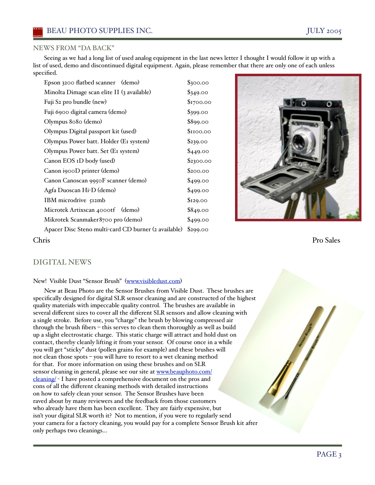#### NEWS FROM "DA BACK"

Seeing as we had a long list of used analog equipment in the last news letter I thought I would follow it up with a list of used, demo and discontinued digital equipment. Again, please remember that there are only one of each unless specified.

| Epson 3200 flatbed scanner (demo)                    | \$300.00  |
|------------------------------------------------------|-----------|
| Minolta Dimage scan elite II (3 available)           | \$349.00  |
| Fuji S <sub>2</sub> pro bundle (new)                 | \$1700.00 |
| Fuji 6900 digital camera (demo)                      | \$399.00  |
| Olympus 8080 (demo)                                  | \$899.00  |
| Olympus Digital passport kit (used)                  | \$1100.00 |
| Olympus Power batt. Holder (EI system)               | \$239.00  |
| Olympus Power batt. Set (EI system)                  | \$449.00  |
| Canon EOS 1D body (used)                             | \$2300.00 |
| Canon i900D printer (demo)                           | \$200.00  |
| Canon Canoscan 9950F scanner (demo)                  | \$499.00  |
| Agfa Duoscan Hi-D (demo)                             | \$499.00  |
| IBM microdrive 512mb                                 | \$129.00  |
| Microtek Artixscan 4000tf (demo)                     | \$849.00  |
| Mikrotek Scanmaker 8700 pro (demo)                   | \$499.00  |
| Apacer Disc Steno multi-card CD burner (2 available) | \$299.00  |
|                                                      |           |



Chris Pro Sales

#### DIGITAL NEWS

New! Visible Dust "Sensor Brush" (www.visibledust.com)

New at Beau Photo are the Sensor Brushes from Visible Dust. These brushes are specifically designed for digital SLR sensor cleaning and are constructed of the highest quality materials with impeccable quality control. The brushes are available in several different sizes to cover all the different SLR sensors and allow cleaning with a single stroke. Before use, you "charge" the brush by blowing compressed air through the brush fibers – this serves to clean them thoroughly as well as build up a slight electrostatic charge. This static charge will attract and hold dust on contact, thereby cleanly lifting it from your sensor. Of course once in a while you will get "sticky" dust (pollen grains for example) and these brushes will not clean those spots – you will have to resort to a wet cleaning method for that. For more information on using these brushes and on SLR sensor cleaning in general, please see our site at www.beauphoto.com/ cleaning/ - I have posted a comprehensive document on the pros and cons of all the different cleaning methods with detailed instructions on how to safely clean your sensor. The Sensor Brushes have been raved about by many reviewers and the feedback from those customers who already have them has been excellent. They are fairly expensive, but isn't your digital SLR worth it? Not to mention, if you were to regularly send your camera for a factory cleaning, you would pay for a complete Sensor Brush kit after only perhaps two cleanings...